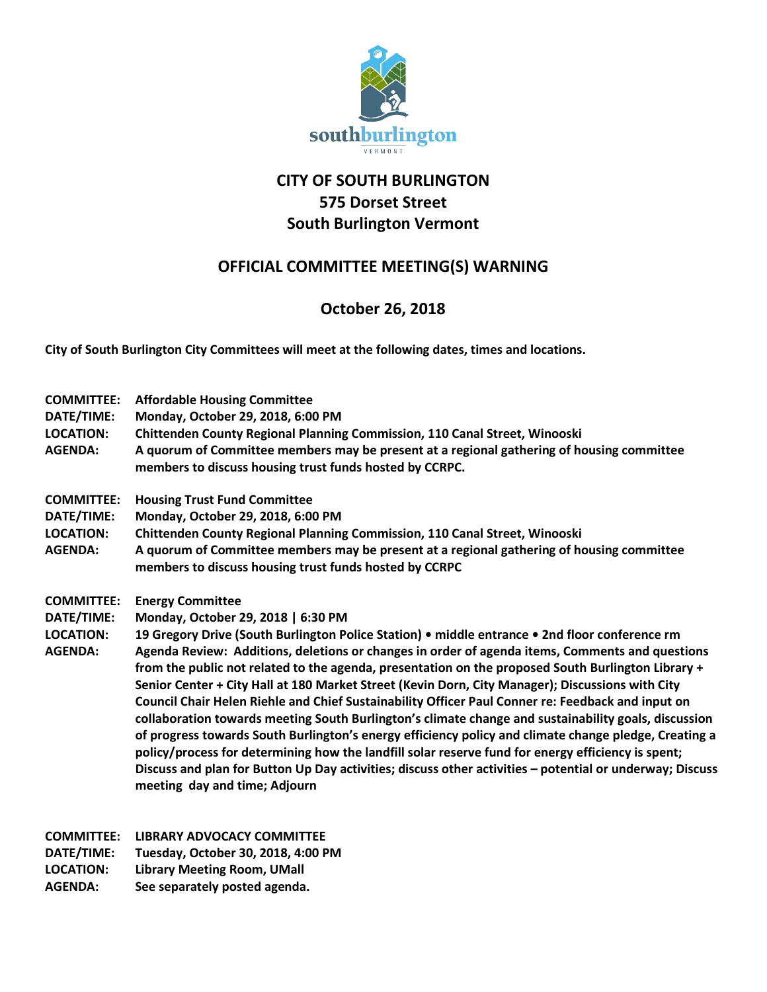

## **CITY OF SOUTH BURLINGTON 575 Dorset Street South Burlington Vermont**

## **OFFICIAL COMMITTEE MEETING(S) WARNING**

## **October 26, 2018**

**City of South Burlington City Committees will meet at the following dates, times and locations.** 

| <b>COMMITTEE:</b><br>DATE/TIME:<br><b>LOCATION:</b><br><b>AGENDA:</b> | <b>Affordable Housing Committee</b><br>Monday, October 29, 2018, 6:00 PM<br>Chittenden County Regional Planning Commission, 110 Canal Street, Winooski<br>A quorum of Committee members may be present at a regional gathering of housing committee<br>members to discuss housing trust funds hosted by CCRPC.                                                                                                                                                                                                                                                                                                                                                                                                                                                                                                                                                                                                                                                                                                                                        |
|-----------------------------------------------------------------------|-------------------------------------------------------------------------------------------------------------------------------------------------------------------------------------------------------------------------------------------------------------------------------------------------------------------------------------------------------------------------------------------------------------------------------------------------------------------------------------------------------------------------------------------------------------------------------------------------------------------------------------------------------------------------------------------------------------------------------------------------------------------------------------------------------------------------------------------------------------------------------------------------------------------------------------------------------------------------------------------------------------------------------------------------------|
| <b>COMMITTEE:</b><br>DATE/TIME:<br><b>LOCATION:</b><br><b>AGENDA:</b> | <b>Housing Trust Fund Committee</b><br>Monday, October 29, 2018, 6:00 PM<br><b>Chittenden County Regional Planning Commission, 110 Canal Street, Winooski</b><br>A quorum of Committee members may be present at a regional gathering of housing committee<br>members to discuss housing trust funds hosted by CCRPC                                                                                                                                                                                                                                                                                                                                                                                                                                                                                                                                                                                                                                                                                                                                  |
| <b>COMMITTEE:</b><br>DATE/TIME:<br><b>LOCATION:</b><br><b>AGENDA:</b> | <b>Energy Committee</b><br>Monday, October 29, 2018   6:30 PM<br>19 Gregory Drive (South Burlington Police Station) • middle entrance • 2nd floor conference rm<br>Agenda Review: Additions, deletions or changes in order of agenda items, Comments and questions<br>from the public not related to the agenda, presentation on the proposed South Burlington Library +<br>Senior Center + City Hall at 180 Market Street (Kevin Dorn, City Manager); Discussions with City<br>Council Chair Helen Riehle and Chief Sustainability Officer Paul Conner re: Feedback and input on<br>collaboration towards meeting South Burlington's climate change and sustainability goals, discussion<br>of progress towards South Burlington's energy efficiency policy and climate change pledge, Creating a<br>policy/process for determining how the landfill solar reserve fund for energy efficiency is spent;<br>Discuss and plan for Button Up Day activities; discuss other activities - potential or underway; Discuss<br>meeting day and time; Adjourn |

**COMMITTEE: LIBRARY ADVOCACY COMMITTEE DATE/TIME: Tuesday, October 30, 2018, 4:00 PM LOCATION: Library Meeting Room, UMall**

**AGENDA: See separately posted agenda.**